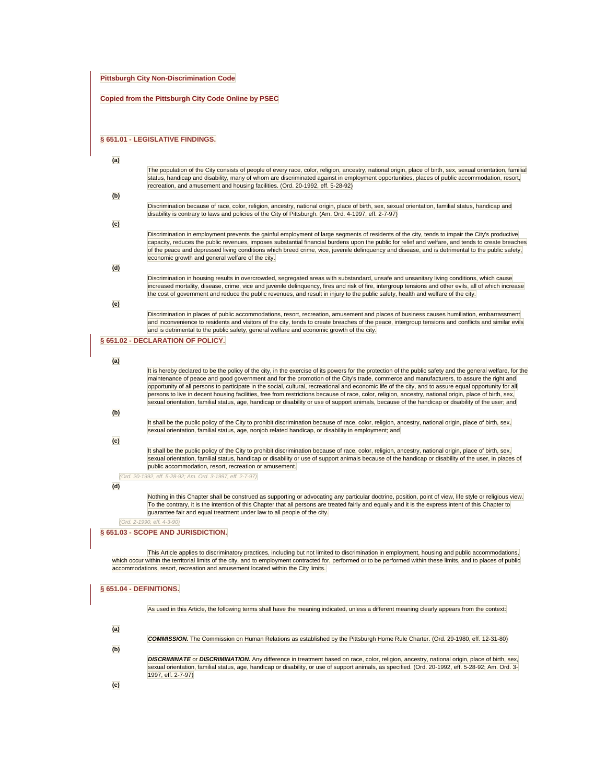#### **Pittsburgh City Non-Discrimination Code**

#### **Copied from the Pittsburgh City Code Online by PSEC**

#### **[§ 651.01 - LEGISLATIVE FINDINGS.](javascript:void(0))**

The population of the City consists of people of every race, color, religion, ancestry, national origin, place of birth, sex, sexual orientation, familial status, handicap and disability, many of whom are discriminated against in employment opportunities, places of public accommodation, resort, recreation, and amusement and housing facilities. (Ord. 20-1992, eff. 5-28-92)

#### **(b)**

Discrimination because of race, color, religion, ancestry, national origin, place of birth, sex, sexual orientation, familial status, handicap and disability is contrary to laws and policies of the City of Pittsburgh. (Am. Ord. 4-1997, eff. 2-7-97)

#### **(c)**

Discrimination in employment prevents the gainful employment of large segments of residents of the city, tends to impair the City's productive capacity, reduces the public revenues, imposes substantial financial burdens upon the public for relief and welfare, and tends to create breaches of the peace and depressed living conditions which breed crime, vice, juvenile delinquency and disease, and is detrimental to the public safety, economic growth and general welfare of the city.

#### **(d)**

Discrimination in housing results in overcrowded, segregated areas with substandard, unsafe and unsanitary living conditions, which cause increased mortality, disease, crime, vice and juvenile delinquency, fires and risk of fire, intergroup tensions and other evils, all of which increase the cost of government and reduce the public revenues, and result in injury to the public safety, health and welfare of the city.

#### **(e)**

Discrimination in places of public accommodations, resort, recreation, amusement and places of business causes humiliation, embarrassment and inconvenience to residents and visitors of the city, tends to create breaches of the peace, intergroup tensions and conflicts and similar evils and is detrimental to the public safety, general welfare and economic growth of the city.

#### **[§ 651.02 - DECLARATION OF POLICY.](javascript:void(0))**

#### **(a)**

It is hereby declared to be the policy of the city, in the exercise of its powers for the protection of the public safety and the general welfare, for the maintenance of peace and good government and for the promotion of the City's trade, commerce and manufacturers, to assure the right and opportunity of all persons to participate in the social, cultural, recreational and economic life of the city, and to assure equal opportunity for all persons to live in decent housing facilities, free from restrictions because of race, color, religion, ancestry, national origin, place of birth, sex, sexual orientation, familial status, age, handicap or disability or use of support animals, because of the handicap or disability of the user; and

### **(b)**

It shall be the public policy of the City to prohibit discrimination because of race, color, religion, ancestry, national origin, place of birth, sex, sexual orientation, familial status, age, nonjob related handicap, or disability in employment; and

#### **(c)**

It shall be the public policy of the City to prohibit discrimination because of race, color, religion, ancestry, national origin, place of birth, sex, sexual orientation, familial status, handicap or disability or use of support animals because of the handicap or disability of the user, in places of public accommodation, resort, recreation or amusement.

*(Ord. 20-1992, eff. 5-28-92; Am. Ord. 3-1997, eff. 2-7-97)* 

#### **(d)**

Nothing in this Chapter shall be construed as supporting or advocating any particular doctrine, position, point of view, life style or religious view. To the contrary, it is the intention of this Chapter that all persons are treated fairly and equally and it is the express intent of this Chapter to guarantee fair and equal treatment under law to all people of the city.

*(Ord. 2-1990, eff. 4-3-90)* 

#### **[§ 651.03 - SCOPE AND JURISDICTION.](javascript:void(0))**

This Article applies to discriminatory practices, including but not limited to discrimination in employment, housing and public accommodations, which occur within the territorial limits of the city, and to employment contracted for, performed or to be performed within these limits, and to places of public accommodations, resort, recreation and amusement located within the City limits.

#### **[§ 651.04 - DEFINITIONS.](javascript:void(0))**

As used in this Article, the following terms shall have the meaning indicated, unless a different meaning clearly appears from the context:

**(a)** 

*COMMISSION.* The Commission on Human Relations as established by the Pittsburgh Home Rule Charter. (Ord. 29-1980, eff. 12-31-80)

**(b)** 

*DISCRIMINATE* or *DISCRIMINATION.* Any difference in treatment based on race, color, religion, ancestry, national origin, place of birth, sex, sexual orientation, familial status, age, handicap or disability, or use of support animals, as specified. (Ord. 20-1992, eff. 5-28-92; Am. Ord. 3- 1997, eff. 2-7-97)

**(c)**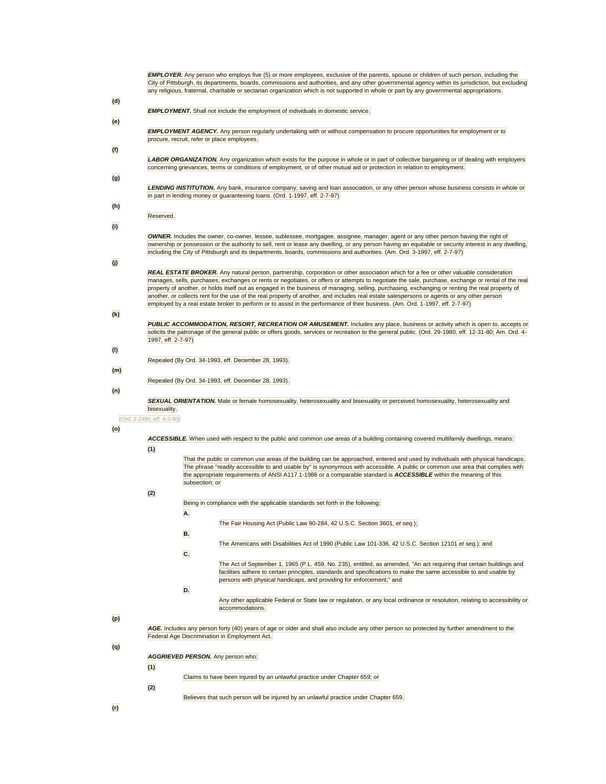|                           | <b>EMPLOYER.</b> Any person who employs five (5) or more employees, exclusive of the parents, spouse or children of such person, including the<br>City of Pittsburgh, its departments, boards, commissions and authorities, and any other governmental agency within its jurisdiction, but excluding<br>any religious, fraternal, charitable or sectarian organization which is not supported in whole or part by any governmental appropriations.                                                                                                                                                                                                                                                                                    |
|---------------------------|---------------------------------------------------------------------------------------------------------------------------------------------------------------------------------------------------------------------------------------------------------------------------------------------------------------------------------------------------------------------------------------------------------------------------------------------------------------------------------------------------------------------------------------------------------------------------------------------------------------------------------------------------------------------------------------------------------------------------------------|
| (d)                       | <b>EMPLOYMENT.</b> Shall not include the employment of individuals in domestic service.                                                                                                                                                                                                                                                                                                                                                                                                                                                                                                                                                                                                                                               |
| (e)                       | <b>EMPLOYMENT AGENCY.</b> Any person regularly undertaking with or without compensation to procure opportunities for employment or to<br>procure, recruit, refer or place employees.                                                                                                                                                                                                                                                                                                                                                                                                                                                                                                                                                  |
| (f)                       | LABOR ORGANIZATION. Any organization which exists for the purpose in whole or in part of collective bargaining or of dealing with employers<br>concerning grievances, terms or conditions of employment, or of other mutual aid or protection in relation to employment.                                                                                                                                                                                                                                                                                                                                                                                                                                                              |
| (g)                       | <b>LENDING INSTITUTION.</b> Any bank, insurance company, saving and loan association, or any other person whose business consists in whole or                                                                                                                                                                                                                                                                                                                                                                                                                                                                                                                                                                                         |
| (h)                       | in part in lending money or guaranteeing loans. (Ord. 1-1997, eff. 2-7-97)                                                                                                                                                                                                                                                                                                                                                                                                                                                                                                                                                                                                                                                            |
| $\overline{(\mathbf{i})}$ | Reserved.                                                                                                                                                                                                                                                                                                                                                                                                                                                                                                                                                                                                                                                                                                                             |
|                           | <b>OWNER.</b> Includes the owner, co-owner, lessee, sublessee, mortgagee, assignee, manager, agent or any other person having the right of<br>ownership or possession or the authority to sell, rent or lease any dwelling, or any person having an equitable or security interest in any dwelling,<br>including the City of Pittsburgh and its departments, boards, commissions and authorities. (Am. Ord. 3-1997, eff. 2-7-97)                                                                                                                                                                                                                                                                                                      |
| $\overline{u}$            | <b>REAL ESTATE BROKER.</b> Any natural person, partnership, corporation or other association which for a fee or other valuable consideration<br>manages, sells, purchases, exchanges or rents or negotiates, or offers or attempts to negotiate the sale, purchase, exchange or rental of the real<br>property of another, or holds itself out as engaged in the business of managing, selling, purchasing, exchanging or renting the real property of<br>another, or collects rent for the use of the real property of another, and includes real estate salespersons or agents or any other person<br>employed by a real estate broker to perform or to assist in the performance of their business. (Am. Ord. 1-1997, eff. 2-7-97) |
| (k)                       | PUBLIC ACCOMMODATION, RESORT, RECREATION OR AMUSEMENT. Includes any place, business or activity which is open to, accepts or<br>solicits the patronage of the general public or offers goods, services or recreation to the general public. (Ord. 29-1980, eff. 12-31-80; Am. Ord. 4-<br>1997, eff. 2-7-97)                                                                                                                                                                                                                                                                                                                                                                                                                           |
| $\bf{O}$                  | Repealed (By Ord. 34-1993, eff. December 28, 1993).                                                                                                                                                                                                                                                                                                                                                                                                                                                                                                                                                                                                                                                                                   |
| (m)                       | Repealed (By Ord. 34-1993, eff. December 28, 1993).                                                                                                                                                                                                                                                                                                                                                                                                                                                                                                                                                                                                                                                                                   |
| (n)                       | SEXUAL ORIENTATION. Male or female homosexuality, heterosexuality and bisexuality or perceived homosexuality, heterosexuality and                                                                                                                                                                                                                                                                                                                                                                                                                                                                                                                                                                                                     |
|                           | bisexuality.<br>(Ord. 2-1990, eff. 4-3-90)                                                                                                                                                                                                                                                                                                                                                                                                                                                                                                                                                                                                                                                                                            |
| (o)                       | ACCESSIBLE. When used with respect to the public and common use areas of a building containing covered multifamily dwellings, means:<br>(1)                                                                                                                                                                                                                                                                                                                                                                                                                                                                                                                                                                                           |
|                           | That the public or common use areas of the building can be approached, entered and used by individuals with physical handicaps.<br>The phrase "readily accessible to and usable by" is synonymous with accessible. A public or common use area that complies with<br>the appropriate requirements of ANSI A117.1-1986 or a comparable standard is ACCESSIBLE within the meaning of this<br>subsection; or                                                                                                                                                                                                                                                                                                                             |
|                           | (2)<br>Being in compliance with the applicable standards set forth in the following:                                                                                                                                                                                                                                                                                                                                                                                                                                                                                                                                                                                                                                                  |
|                           | A.<br>The Fair Housing Act (Public Law 90-284, 42 U.S.C. Section 3601, et seq.);<br>B.                                                                                                                                                                                                                                                                                                                                                                                                                                                                                                                                                                                                                                                |
|                           | The Americans with Disabilities Act of 1990 (Public Law 101-336, 42 U.S.C. Section 12101 et seq.); and<br>C.                                                                                                                                                                                                                                                                                                                                                                                                                                                                                                                                                                                                                          |
|                           | The Act of September 1, 1965 (P.L. 459, No. 235), entitled, as amended, "An act requiring that certain buildings and<br>facilities adhere to certain principles, standards and specifications to make the same accessible to and usable by<br>persons with physical handicaps, and providing for enforcement;" and                                                                                                                                                                                                                                                                                                                                                                                                                    |
|                           | D.<br>Any other applicable Federal or State law or regulation, or any local ordinance or resolution, relating to accessibility or                                                                                                                                                                                                                                                                                                                                                                                                                                                                                                                                                                                                     |
| (p)                       | accommodations.<br>AGE. Includes any person forty (40) years of age or older and shall also include any other person so protected by further amendment to the                                                                                                                                                                                                                                                                                                                                                                                                                                                                                                                                                                         |
| (q)                       | Federal Age Discrimination in Employment Act.                                                                                                                                                                                                                                                                                                                                                                                                                                                                                                                                                                                                                                                                                         |
|                           | AGGRIEVED PERSON. Any person who:<br>(1)                                                                                                                                                                                                                                                                                                                                                                                                                                                                                                                                                                                                                                                                                              |
|                           | Claims to have been injured by an unlawful practice under Chapter 659; or<br>(2)                                                                                                                                                                                                                                                                                                                                                                                                                                                                                                                                                                                                                                                      |
| (r)                       | Believes that such person will be injured by an unlawful practice under Chapter 659.                                                                                                                                                                                                                                                                                                                                                                                                                                                                                                                                                                                                                                                  |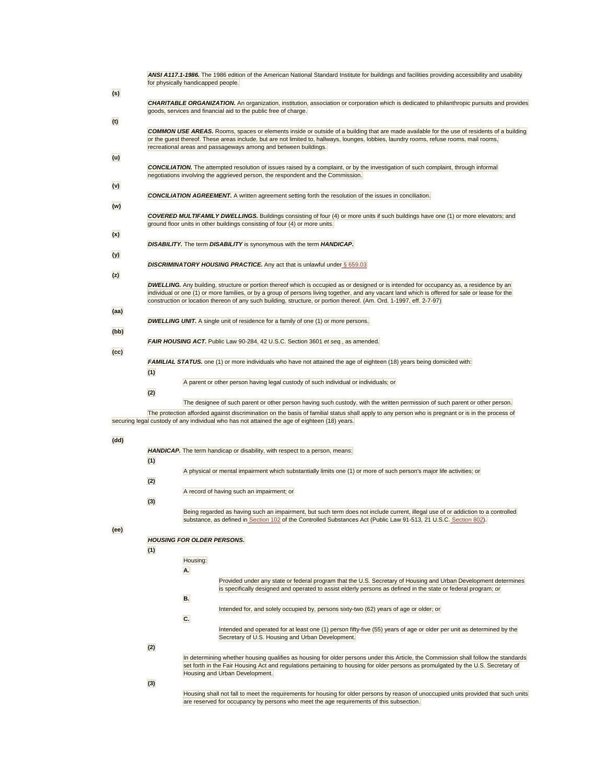|      |     | ANSI A117.1-1986. The 1986 edition of the American National Standard Institute for buildings and facilities providing accessibility and usability<br>for physically handicapped people.                                                                                                                                                                                                                                     |  |  |  |
|------|-----|-----------------------------------------------------------------------------------------------------------------------------------------------------------------------------------------------------------------------------------------------------------------------------------------------------------------------------------------------------------------------------------------------------------------------------|--|--|--|
| (s)  |     |                                                                                                                                                                                                                                                                                                                                                                                                                             |  |  |  |
|      |     | <b>CHARITABLE ORGANIZATION.</b> An organization, institution, association or corporation which is dedicated to philanthropic pursuits and provides<br>goods, services and financial aid to the public free of charge.                                                                                                                                                                                                       |  |  |  |
| (t)  |     | <b>COMMON USE AREAS.</b> Rooms, spaces or elements inside or outside of a building that are made available for the use of residents of a building<br>or the guest thereof. These areas include, but are not limited to, hallways, lounges, lobbies, laundry rooms, refuse rooms, mail rooms,                                                                                                                                |  |  |  |
|      |     | recreational areas and passageways among and between buildings.                                                                                                                                                                                                                                                                                                                                                             |  |  |  |
| (u)  |     |                                                                                                                                                                                                                                                                                                                                                                                                                             |  |  |  |
|      |     | <b>CONCILIATION.</b> The attempted resolution of issues raised by a complaint, or by the investigation of such complaint, through informal<br>negotiations involving the aggrieved person, the respondent and the Commission.                                                                                                                                                                                               |  |  |  |
| (v)  |     |                                                                                                                                                                                                                                                                                                                                                                                                                             |  |  |  |
| (w)  |     | <b>CONCILIATION AGREEMENT.</b> A written agreement setting forth the resolution of the issues in conciliation.                                                                                                                                                                                                                                                                                                              |  |  |  |
|      |     | COVERED MULTIFAMILY DWELLINGS. Buildings consisting of four (4) or more units if such buildings have one (1) or more elevators; and<br>ground floor units in other buildings consisting of four (4) or more units.                                                                                                                                                                                                          |  |  |  |
| (x)  |     |                                                                                                                                                                                                                                                                                                                                                                                                                             |  |  |  |
| (y)  |     | <b>DISABILITY.</b> The term <b>DISABILITY</b> is synonymous with the term <b>HANDICAP</b> .                                                                                                                                                                                                                                                                                                                                 |  |  |  |
|      |     | <b>DISCRIMINATORY HOUSING PRACTICE.</b> Any act that is unlawful under $\S 659.03$                                                                                                                                                                                                                                                                                                                                          |  |  |  |
| (z)  |     |                                                                                                                                                                                                                                                                                                                                                                                                                             |  |  |  |
|      |     | <b>DWELLING.</b> Any building, structure or portion thereof which is occupied as or designed or is intended for occupancy as, a residence by an<br>individual or one (1) or more families, or by a group of persons living together, and any vacant land which is offered for sale or lease for the<br>construction or location thereon of any such building, structure, or portion thereof. (Am. Ord. 1-1997, eff. 2-7-97) |  |  |  |
| (aa) |     |                                                                                                                                                                                                                                                                                                                                                                                                                             |  |  |  |
|      |     | <b>DWELLING UNIT.</b> A single unit of residence for a family of one (1) or more persons.                                                                                                                                                                                                                                                                                                                                   |  |  |  |
| (bb) |     | FAIR HOUSING ACT. Public Law 90-284, 42 U.S.C. Section 3601 et seq., as amended.                                                                                                                                                                                                                                                                                                                                            |  |  |  |
| (cc) |     |                                                                                                                                                                                                                                                                                                                                                                                                                             |  |  |  |
|      |     | FAMILIAL STATUS. one (1) or more individuals who have not attained the age of eighteen (18) years being domiciled with:                                                                                                                                                                                                                                                                                                     |  |  |  |
|      | (1) |                                                                                                                                                                                                                                                                                                                                                                                                                             |  |  |  |
|      |     | A parent or other person having legal custody of such individual or individuals; or                                                                                                                                                                                                                                                                                                                                         |  |  |  |
|      | (2) |                                                                                                                                                                                                                                                                                                                                                                                                                             |  |  |  |
|      |     | The designee of such parent or other person having such custody, with the written permission of such parent or other person.                                                                                                                                                                                                                                                                                                |  |  |  |
|      |     |                                                                                                                                                                                                                                                                                                                                                                                                                             |  |  |  |
|      |     | The protection afforded against discrimination on the basis of familial status shall apply to any person who is pregnant or is in the process of<br>securing legal custody of any individual who has not attained the age of eighteen (18) years.                                                                                                                                                                           |  |  |  |
| (dd) |     |                                                                                                                                                                                                                                                                                                                                                                                                                             |  |  |  |
|      |     | HANDICAP. The term handicap or disability, with respect to a person, means:                                                                                                                                                                                                                                                                                                                                                 |  |  |  |
|      |     |                                                                                                                                                                                                                                                                                                                                                                                                                             |  |  |  |
|      | (1) |                                                                                                                                                                                                                                                                                                                                                                                                                             |  |  |  |
|      |     | A physical or mental impairment which substantially limits one (1) or more of such person's major life activities; or                                                                                                                                                                                                                                                                                                       |  |  |  |
|      | (2) |                                                                                                                                                                                                                                                                                                                                                                                                                             |  |  |  |
|      |     | A record of having such an impairment; or                                                                                                                                                                                                                                                                                                                                                                                   |  |  |  |
|      | (3) |                                                                                                                                                                                                                                                                                                                                                                                                                             |  |  |  |
|      |     | Being regarded as having such an impairment, but such term does not include current, illegal use of or addiction to a controlled                                                                                                                                                                                                                                                                                            |  |  |  |
|      |     | substance, as defined in Section 102 of the Controlled Substances Act (Public Law 91-513, 21 U.S.C. Section 802).                                                                                                                                                                                                                                                                                                           |  |  |  |
| (ee) |     |                                                                                                                                                                                                                                                                                                                                                                                                                             |  |  |  |
|      |     | <b>HOUSING FOR OLDER PERSONS.</b>                                                                                                                                                                                                                                                                                                                                                                                           |  |  |  |
|      | (1) |                                                                                                                                                                                                                                                                                                                                                                                                                             |  |  |  |
|      |     | Housing:                                                                                                                                                                                                                                                                                                                                                                                                                    |  |  |  |
|      |     |                                                                                                                                                                                                                                                                                                                                                                                                                             |  |  |  |
|      |     | A.                                                                                                                                                                                                                                                                                                                                                                                                                          |  |  |  |
|      |     | Provided under any state or federal program that the U.S. Secretary of Housing and Urban Development determines<br>is specifically designed and operated to assist elderly persons as defined in the state or federal program; or                                                                                                                                                                                           |  |  |  |
|      |     | <b>B.</b>                                                                                                                                                                                                                                                                                                                                                                                                                   |  |  |  |
|      |     | Intended for, and solely occupied by, persons sixty-two (62) years of age or older; or                                                                                                                                                                                                                                                                                                                                      |  |  |  |
|      |     | C.                                                                                                                                                                                                                                                                                                                                                                                                                          |  |  |  |
|      |     | Intended and operated for at least one (1) person fifty-five (55) years of age or older per unit as determined by the                                                                                                                                                                                                                                                                                                       |  |  |  |
|      |     | Secretary of U.S. Housing and Urban Development.                                                                                                                                                                                                                                                                                                                                                                            |  |  |  |
|      | (2) |                                                                                                                                                                                                                                                                                                                                                                                                                             |  |  |  |
|      |     | In determining whether housing qualifies as housing for older persons under this Article, the Commission shall follow the standards                                                                                                                                                                                                                                                                                         |  |  |  |
|      |     | set forth in the Fair Housing Act and regulations pertaining to housing for older persons as promulgated by the U.S. Secretary of<br>Housing and Urban Development.                                                                                                                                                                                                                                                         |  |  |  |
|      |     |                                                                                                                                                                                                                                                                                                                                                                                                                             |  |  |  |
|      | (3) |                                                                                                                                                                                                                                                                                                                                                                                                                             |  |  |  |

Housing shall not fall to meet the requirements for housing for older persons by reason of unoccupied units provided that such units<br>are reserved for occupancy by persons who meet the age requirements of this subsection.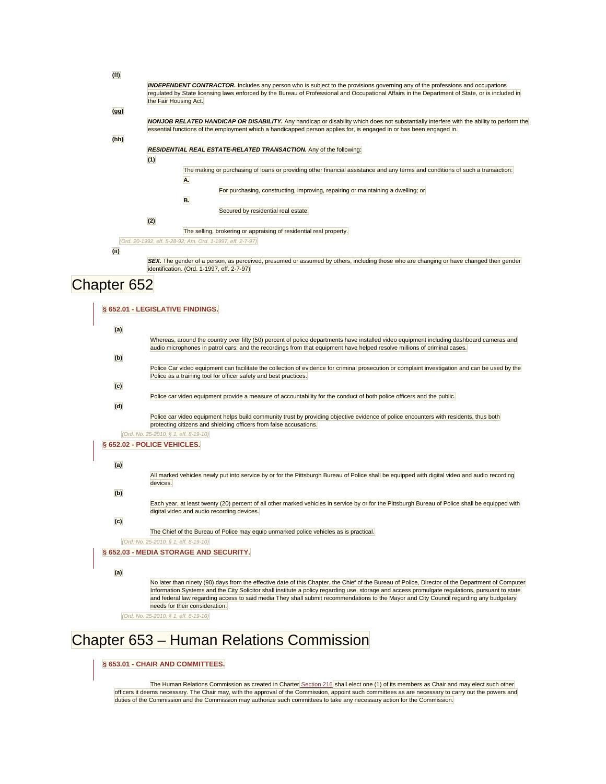| (ff)               |                                                                                                                                                                                                                     |
|--------------------|---------------------------------------------------------------------------------------------------------------------------------------------------------------------------------------------------------------------|
|                    | <b>INDEPENDENT CONTRACTOR.</b> Includes any person who is subject to the provisions governing any of the professions and occupations                                                                                |
|                    | regulated by State licensing laws enforced by the Bureau of Professional and Occupational Affairs in the Department of State, or is included in                                                                     |
|                    | the Fair Housing Act.                                                                                                                                                                                               |
| (gg)               |                                                                                                                                                                                                                     |
|                    | <b>NONJOB RELATED HANDICAP OR DISABILITY.</b> Any handicap or disability which does not substantially interfere with the ability to perform the                                                                     |
|                    | essential functions of the employment which a handicapped person applies for, is engaged in or has been engaged in.                                                                                                 |
| (hh)               |                                                                                                                                                                                                                     |
|                    | <b>RESIDENTIAL REAL ESTATE-RELATED TRANSACTION.</b> Any of the following:                                                                                                                                           |
|                    | (1)                                                                                                                                                                                                                 |
|                    | The making or purchasing of loans or providing other financial assistance and any terms and conditions of such a transaction:                                                                                       |
|                    | Α.                                                                                                                                                                                                                  |
|                    | For purchasing, constructing, improving, repairing or maintaining a dwelling; or                                                                                                                                    |
|                    | В.                                                                                                                                                                                                                  |
|                    | Secured by residential real estate.                                                                                                                                                                                 |
|                    | (2)                                                                                                                                                                                                                 |
|                    | The selling, brokering or appraising of residential real property.                                                                                                                                                  |
|                    | (Ord. 20-1992, eff. 5-28-92; Am. Ord. 1-1997, eff. 2-7-97)                                                                                                                                                          |
| (i)                |                                                                                                                                                                                                                     |
|                    | SEX. The gender of a person, as perceived, presumed or assumed by others, including those who are changing or have changed their gender                                                                             |
|                    | identification. (Ord. 1-1997, eff. 2-7-97)                                                                                                                                                                          |
| <b>Chapter 652</b> |                                                                                                                                                                                                                     |
|                    |                                                                                                                                                                                                                     |
|                    |                                                                                                                                                                                                                     |
|                    | § 652.01 - LEGISLATIVE FINDINGS.                                                                                                                                                                                    |
|                    |                                                                                                                                                                                                                     |
| (a)                |                                                                                                                                                                                                                     |
|                    | Whereas, around the country over fifty (50) percent of police departments have installed video equipment including dashboard cameras and                                                                            |
|                    | audio microphones in patrol cars; and the recordings from that equipment have helped resolve millions of criminal cases.                                                                                            |
| (b)                |                                                                                                                                                                                                                     |
|                    | Police Car video equipment can facilitate the collection of evidence for criminal prosecution or complaint investigation and can be used by the<br>Police as a training tool for officer safety and best practices. |
| (c)                |                                                                                                                                                                                                                     |
|                    | Police car video equipment provide a measure of accountability for the conduct of both police officers and the public.                                                                                              |
|                    |                                                                                                                                                                                                                     |
| (d)                |                                                                                                                                                                                                                     |
|                    | Police car video equipment helps build community trust by providing objective evidence of police encounters with residents, thus both<br>protecting citizens and shielding officers from false accusations.         |
|                    | (Ord. No. 25-2010, § 1, eff. 8-19-10)                                                                                                                                                                               |
|                    | § 652.02 - POLICE VEHICLES.                                                                                                                                                                                         |
|                    |                                                                                                                                                                                                                     |
| (a)                |                                                                                                                                                                                                                     |
|                    | All marked vehicles newly put into service by or for the Pittsburgh Bureau of Police shall be equipped with digital video and audio recording                                                                       |
|                    | devices.                                                                                                                                                                                                            |
| (b)                |                                                                                                                                                                                                                     |
|                    | Each year, at least twenty (20) percent of all other marked vehicles in service by or for the Pittsburgh Bureau of Police shall be equipped with                                                                    |
|                    | digital video and audio recording devices.                                                                                                                                                                          |
| (c)                |                                                                                                                                                                                                                     |
|                    | The Chief of the Bureau of Police may equip unmarked police vehicles as is practical.                                                                                                                               |
|                    | (Ord. No. 25-2010, § 1, eff. 8-19-10)                                                                                                                                                                               |
|                    | § 652.03 - MEDIA STORAGE AND SECURITY.                                                                                                                                                                              |
|                    |                                                                                                                                                                                                                     |
| (a)                |                                                                                                                                                                                                                     |
|                    | No later than ninety (90) days from the effective date of this Chapter, the Chief of the Bureau of Police, Director of the Department of Computer                                                                   |
|                    | Information Systems and the City Solicitor shall institute a policy regarding use, storage and access promulgate regulations, pursuant to state                                                                     |
|                    | and federal law regarding access to said media They shall submit recommendations to the Mayor and City Council regarding any budgetary                                                                              |

*(Ord. No. 25-2010, § 1, eff. 8-19-10)* 

needs for their consideration.

# Chapter 653 – Human Relations Commission

### **[§ 653.01 - CHAIR AND COMMITTEES.](javascript:void(0))**

The Human Relations Commission as created in Charter [Section 216](http://library.municode.com/HTML/13525/level3/SUHITA_HORUCHPIPE_ART2EXBR.html#SUHITA_HORUCHPIPE_ART2EXBR_S216HURECO) shall elect one (1) of its members as Chair and may elect such other officers it deems necessary. The Chair may, with the approval of the Commission, appoint such committees as are necessary to carry out the powers and duties of the Commission and the Commission may authorize such committees to take any necessary action for the Commission.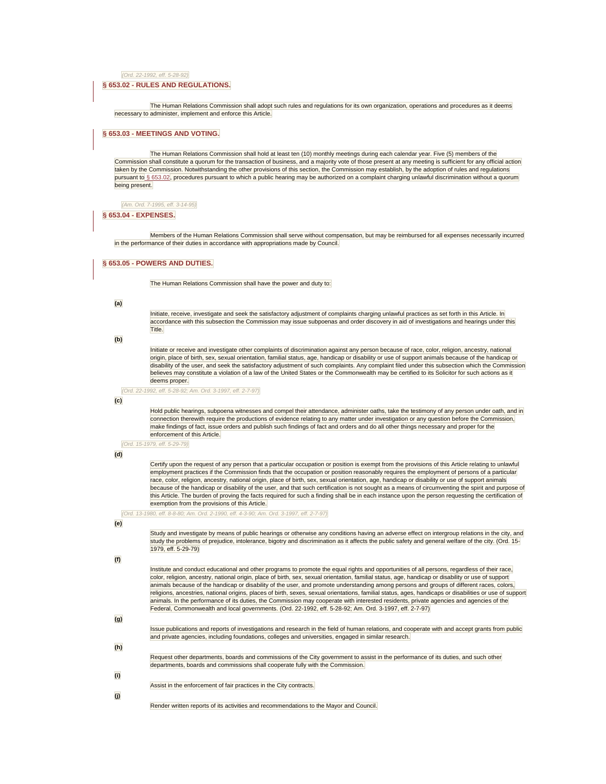*(Ord. 22-1992, eff. 5-28-92)* 

#### **[§ 653.02 - RULES AND REGULATIONS.](javascript:void(0))**

The Human Relations Commission shall adopt such rules and regulations for its own organization, operations and procedures as it deems necessary to administer, implement and enforce this Article.

#### **[§ 653.03 - MEETINGS AND VOTING.](javascript:void(0))**

The Human Relations Commission shall hold at least ten (10) monthly meetings during each calendar year. Five (5) members of the Commission shall constitute a quorum for the transaction of business, and a majority vote of those present at any meeting is sufficient for any official action taken by the Commission. Notwithstanding the other provisions of this section, the Commission may establish, by the adoption of rules and regulations pursuant t[o § 653.02,](http://library.municode.com/HTML/13525/level4/SUHITA_TITSIXCO_ARTVDI_CH653HURECO.html#SUHITA_TITSIXCO_ARTVDI_CH653HURECO_S653.02RURE) procedures pursuant to which a public hearing may be authorized on a complaint charging unlawful discrimination without a quorum being present.

*(Am. Ord. 7-1995, eff. 3-14-95)* 

#### **[§ 653.04 - EXPENSES.](javascript:void(0))**

Members of the Human Relations Commission shall serve without compensation, but may be reimbursed for all expenses necessarily incurred in the performance of their duties in accordance with appropriations made by Council.

#### **[§ 653.05 - POWERS AND DUTIES.](javascript:void(0))**

The Human Relations Commission shall have the power and duty to:

#### **(a)**

Initiate, receive, investigate and seek the satisfactory adjustment of complaints charging unlawful practices as set forth in this Article. In accordance with this subsection the Commission may issue subpoenas and order discovery in aid of investigations and hearings under this Title.

#### **(b)**

Initiate or receive and investigate other complaints of discrimination against any person because of race, color, religion, ancestry, national origin, place of birth, sex, sexual orientation, familial status, age, handicap or disability or use of support animals because of the handicap or disability of the user, and seek the satisfactory adjustment of such complaints. Any complaint filed under this subsection which the Commission believes may constitute a violation of a law of the United States or the Commonwealth may be certified to its Solicitor for such actions as it deems proper.

*(Ord. 22-1992, eff. 5-28-92; Am. Ord. 3-1997, eff. 2-7-97)* 

#### **(c)**

Hold public hearings, subpoena witnesses and compel their attendance, administer oaths, take the testimony of any person under oath, and in connection therewith require the productions of evidence relating to any matter under investigation or any question before the Commission, make findings of fact, issue orders and publish such findings of fact and orders and do all other things necessary and proper for the enforcement of this Article.

*(Ord. 15-1979, eff. 5-29-79)* 

#### **(d)**

Certify upon the request of any person that a particular occupation or position is exempt from the provisions of this Article relating to unlawful employment practices if the Commission finds that the occupation or position reasonably requires the employment of persons of a particular race, color, religion, ancestry, national origin, place of birth, sex, sexual orientation, age, handicap or disability or use of support animals because of the handicap or disability of the user, and that such certification is not sought as a means of circumventing the spirit and purpose of this Article. The burden of proving the facts required for such a finding shall be in each instance upon the person requesting the certification of exemption from the provisions of this Article.

*(Ord. 13-1980, eff. 8-8-80; Am. Ord. 2-1990, eff. 4-3-90; Am. Ord. 3-1997, eff. 2-7-97)* 

#### **(e)**

Study and investigate by means of public hearings or otherwise any conditions having an adverse effect on intergroup relations in the city, and study the problems of prejudice, intolerance, bigotry and discrimination as it affects the public safety and general welfare of the city. (Ord. 15- 1979, eff. 5-29-79)

#### **(f)**

Institute and conduct educational and other programs to promote the equal rights and opportunities of all persons, regardless of their race, color, religion, ancestry, national origin, place of birth, sex, sexual orientation, familial status, age, handicap or disability or use of support animals because of the handicap or disability of the user, and promote understanding among persons and groups of different races, colors, religions, ancestries, national origins, places of birth, sexes, sexual orientations, familial status, ages, handicaps or disabilities or use of support animals. In the performance of its duties, the Commission may cooperate with interested residents, private agencies and agencies of the Federal, Commonwealth and local governments. (Ord. 22-1992, eff. 5-28-92; Am. Ord. 3-1997, eff. 2-7-97)

# **(g)**

Issue publications and reports of investigations and research in the field of human relations, and cooperate with and accept grants from public and private agencies, including foundations, colleges and universities, engaged in similar research.

**(h)** 

Request other departments, boards and commissions of the City government to assist in the performance of its duties, and such other departments, boards and commissions shall cooperate fully with the Commission.

Assist in the enforcement of fair practices in the City contracts.

**(j)** 

**(i)** 

Render written reports of its activities and recommendations to the Mayor and Council.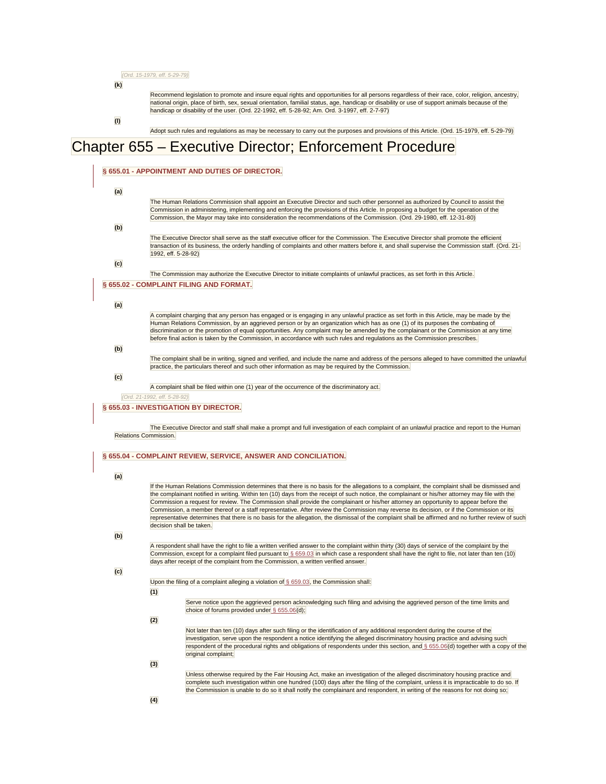*(Ord. 15-1979, eff. 5-29-79)* 

**(k)** 

Recommend legislation to promote and insure equal rights and opportunities for all persons regardless of their race, color, religion, ancestry,<br>national origin, place of birth, sex, sexual orientation, familial status, age

**(l)** 

Adopt such rules and regulations as may be necessary to carry out the purposes and provisions of this Article. (Ord. 15-1979, eff. 5-29-79)

# Chapter 655 – Executive Director; Enforcement Procedure

| (a) |                                                                                                                                                                                                                                                                                                  |  |
|-----|--------------------------------------------------------------------------------------------------------------------------------------------------------------------------------------------------------------------------------------------------------------------------------------------------|--|
|     | The Human Relations Commission shall appoint an Executive Director and such other personnel as authorized by Council to assist the                                                                                                                                                               |  |
|     | Commission in administering, implementing and enforcing the provisions of this Article. In proposing a budget for the operation of the                                                                                                                                                           |  |
|     | Commission, the Mayor may take into consideration the recommendations of the Commission. (Ord. 29-1980, eff. 12-31-80)                                                                                                                                                                           |  |
| (b) |                                                                                                                                                                                                                                                                                                  |  |
|     | The Executive Director shall serve as the staff executive officer for the Commission. The Executive Director shall promote the efficient<br>transaction of its business, the orderly handling of complaints and other matters before it, and shall supervise the Commission staff. (Ord. 21-     |  |
|     | 1992, eff. 5-28-92)                                                                                                                                                                                                                                                                              |  |
| (c) |                                                                                                                                                                                                                                                                                                  |  |
|     | The Commission may authorize the Executive Director to initiate complaints of unlawful practices, as set forth in this Article.                                                                                                                                                                  |  |
|     | § 655.02 - COMPLAINT FILING AND FORMAT.                                                                                                                                                                                                                                                          |  |
|     |                                                                                                                                                                                                                                                                                                  |  |
| (a) |                                                                                                                                                                                                                                                                                                  |  |
|     | A complaint charging that any person has engaged or is engaging in any unlawful practice as set forth in this Article, may be made by the                                                                                                                                                        |  |
|     | Human Relations Commission, by an aggrieved person or by an organization which has as one (1) of its purposes the combating of                                                                                                                                                                   |  |
|     | discrimination or the promotion of equal opportunities. Any complaint may be amended by the complainant or the Commission at any time<br>before final action is taken by the Commission, in accordance with such rules and regulations as the Commission prescribes.                             |  |
| (b) |                                                                                                                                                                                                                                                                                                  |  |
|     | The complaint shall be in writing, signed and verified, and include the name and address of the persons alleged to have committed the unlawful                                                                                                                                                   |  |
|     | practice, the particulars thereof and such other information as may be required by the Commission.                                                                                                                                                                                               |  |
| (c) |                                                                                                                                                                                                                                                                                                  |  |
|     | A complaint shall be filed within one (1) year of the occurrence of the discriminatory act.                                                                                                                                                                                                      |  |
|     | (Ord. 21-1992, eff. 5-28-92)                                                                                                                                                                                                                                                                     |  |
|     | § 655.03 - INVESTIGATION BY DIRECTOR.                                                                                                                                                                                                                                                            |  |
|     |                                                                                                                                                                                                                                                                                                  |  |
|     | § 655.04 - COMPLAINT REVIEW, SERVICE, ANSWER AND CONCILIATION.                                                                                                                                                                                                                                   |  |
|     |                                                                                                                                                                                                                                                                                                  |  |
| (a) |                                                                                                                                                                                                                                                                                                  |  |
|     | If the Human Relations Commission determines that there is no basis for the allegations to a complaint, the complaint shall be dismissed and<br>the complainant notified in writing. Within ten (10) days from the receipt of such notice, the complainant or his/her attorney may file with the |  |
|     | Commission a request for review. The Commission shall provide the complainant or his/her attorney an opportunity to appear before the                                                                                                                                                            |  |
|     | Commission, a member thereof or a staff representative. After review the Commission may reverse its decision, or if the Commission or its                                                                                                                                                        |  |
|     | representative determines that there is no basis for the allegation, the dismissal of the complaint shall be affirmed and no further review of such<br>decision shall be taken.                                                                                                                  |  |
| (b) |                                                                                                                                                                                                                                                                                                  |  |
|     | A respondent shall have the right to file a written verified answer to the complaint within thirty (30) days of service of the complaint by the                                                                                                                                                  |  |
|     | Commission, except for a complaint filed pursuant to § 659.03 in which case a respondent shall have the right to file, not later than ten (10)                                                                                                                                                   |  |
|     | days after receipt of the complaint from the Commission, a written verified answer.                                                                                                                                                                                                              |  |
| (c) |                                                                                                                                                                                                                                                                                                  |  |
|     | Upon the filing of a complaint alleging a violation of $\S$ 659.03, the Commission shall:                                                                                                                                                                                                        |  |
|     | (1)                                                                                                                                                                                                                                                                                              |  |
|     | Serve notice upon the aggrieved person acknowledging such filing and advising the aggrieved person of the time limits and                                                                                                                                                                        |  |
|     | choice of forums provided under § 655.06(d);                                                                                                                                                                                                                                                     |  |
|     | (2)                                                                                                                                                                                                                                                                                              |  |
|     | Not later than ten (10) days after such filing or the identification of any additional respondent during the course of the                                                                                                                                                                       |  |
|     | investigation, serve upon the respondent a notice identifying the alleged discriminatory housing practice and advising such                                                                                                                                                                      |  |
|     | respondent of the procedural rights and obligations of respondents under this section, and § 655.06(d) together with a copy of the<br>original complaint;                                                                                                                                        |  |
|     | (3)                                                                                                                                                                                                                                                                                              |  |
|     | Unless otherwise required by the Fair Housing Act, make an investigation of the alleged discriminatory housing practice and                                                                                                                                                                      |  |
|     | complete such investigation within one hundred (100) days after the filing of the complaint, unless it is impracticable to do so. If                                                                                                                                                             |  |
|     | the Commission is unable to do so it shall notify the complainant and respondent, in writing of the reasons for not doing so;                                                                                                                                                                    |  |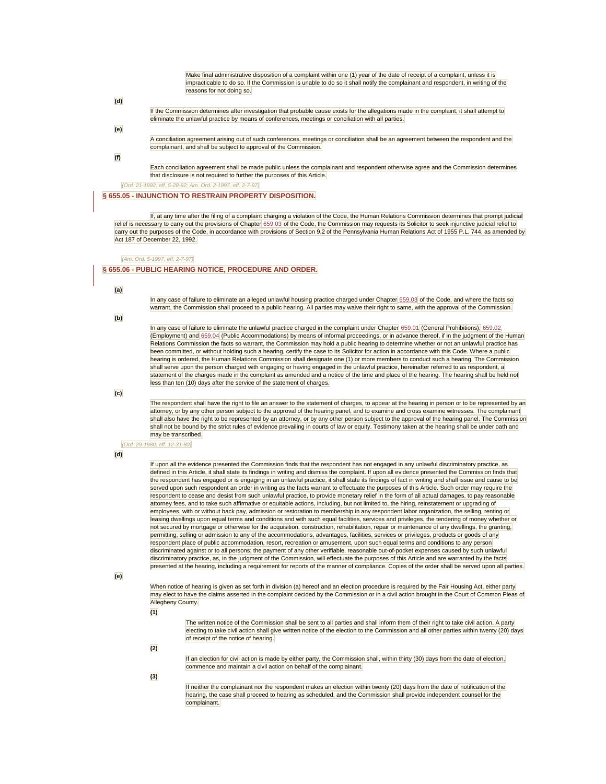Make final administrative disposition of a complaint within one (1) year of the date of receipt of a complaint, unless it is impracticable to do so. If the Commission is unable to do so it shall notify the complainant and respondent, in writing of the reasons for not doing so.

**(d)** 

If the Commission determines after investigation that probable cause exists for the allegations made in the complaint, it shall attempt to eliminate the unlawful practice by means of conferences, meetings or conciliation with all parties.

**(e)** 

A conciliation agreement arising out of such conferences, meetings or conciliation shall be an agreement between the respondent and the complainant, and shall be subject to approval of the Commission.

**(f)** 

Each conciliation agreement shall be made public unless the complainant and respondent otherwise agree and the Commission determines that disclosure is not required to further the purposes of this Article.

*(Ord. 21-1992, eff. 5-28-92; Am. Ord. 2-1997, eff. 2-7-97)* 

**[§ 655.05 - INJUNCTION TO RESTRAIN PROPERTY DISPOSITION.](javascript:void(0))**

If, at any time after the filing of a complaint charging a violation of the Code, the Human Relations Commission determines that prompt judicial relief is necessary to carry out the provisions of Chapter [659.03](http://library.municode.com/HTML/13525/level4/SUHITA_TITSIXCO_ARTVDI_CH659UNPR.html#SUHITA_TITSIXCO_ARTVDI_CH659UNPR_S659.03UNHOPR) of the Code, the Commission may requests its Solicitor to seek injunctive judicial relief to carry out the purposes of the Code, in accordance with provisions of Section 9.2 of the Pennsylvania Human Relations Act of 1955 P.L. 744, as amended by Act 187 of December 22, 1992.

#### *(Am. Ord. 5-1997, eff. 2-7-97)*

#### **[§ 655.06 - PUBLIC HEARING NOTICE, PROCEDURE AND ORDER.](javascript:void(0))**

**(a)** 

In any case of failure to eliminate an alleged unlawful housing practice charged under Chapter [659.03](http://library.municode.com/HTML/13525/level4/SUHITA_TITSIXCO_ARTVDI_CH659UNPR.html#SUHITA_TITSIXCO_ARTVDI_CH659UNPR_S659.03UNHOPR) of the Code, and where the facts so warrant, the Commission shall proceed to a public hearing. All parties may waive their right to same, with the approval of the Commission.

**(b)** 

In any case of failure to eliminate the unlawful practice charged in the complaint under Chapter [659.01](http://library.municode.com/HTML/13525/level4/SUHITA_TITSIXCO_ARTVDI_CH659UNPR.html#SUHITA_TITSIXCO_ARTVDI_CH659UNPR_S659.01GEPR) (General Prohibitions), [659.02](http://library.municode.com/HTML/13525/level4/SUHITA_TITSIXCO_ARTVDI_CH659UNPR.html#SUHITA_TITSIXCO_ARTVDI_CH659UNPR_S659.02UNEMPR) (Employment) an[d 659.04](http://library.municode.com/HTML/13525/level4/SUHITA_TITSIXCO_ARTVDI_CH659UNPR.html#SUHITA_TITSIXCO_ARTVDI_CH659UNPR_S659.04UNPUACPR) (Public Accommodations) by means of informal proceedings, or in advance thereof, if in the judgment of the Human Relations Commission the facts so warrant, the Commission may hold a public hearing to determine whether or not an unlawful practice has been committed, or without holding such a hearing, certify the case to its Solicitor for action in accordance with this Code. Where a public hearing is ordered, the Human Relations Commission shall designate one (1) or more members to conduct such a hearing. The Commission shall serve upon the person charged with engaging or having engaged in the unlawful practice, hereinafter referred to as respondent, a statement of the charges made in the complaint as amended and a notice of the time and place of the hearing. The hearing shall be held not less than ten (10) days after the service of the statement of charges.

**(c)** 

The respondent shall have the right to file an answer to the statement of charges, to appear at the hearing in person or to be represented by an attorney, or by any other person subject to the approval of the hearing panel, and to examine and cross examine witnesses. The complainant shall also have the right to be represented by an attorney, or by any other person subject to the approval of the hearing panel. The Commission shall not be bound by the strict rules of evidence prevailing in courts of law or equity. Testimony taken at the hearing shall be under oath and may be transcribed.

*(Ord. 29-1980, eff. 12-31-80)* 

#### **(d)**

If upon all the evidence presented the Commission finds that the respondent has not engaged in any unlawful discriminatory practice, as defined in this Article, it shall state its findings in writing and dismiss the complaint. If upon all evidence presented the Commission finds that the respondent has engaged or is engaging in an unlawful practice, it shall state its findings of fact in writing and shall issue and cause to be served upon such respondent an order in writing as the facts warrant to effectuate the purposes of this Article. Such order may require the respondent to cease and desist from such unlawful practice, to provide monetary relief in the form of all actual damages, to pay reasonable attorney fees, and to take such affirmative or equitable actions, including, but not limited to, the hiring, reinstatement or upgrading of employees, with or without back pay, admission or restoration to membership in any respondent labor organization, the selling, renting or leasing dwellings upon equal terms and conditions and with such equal facilities, services and privileges, the tendering of money whether or not secured by mortgage or otherwise for the acquisition, construction, rehabilitation, repair or maintenance of any dwellings, the granting, permitting, selling or admission to any of the accommodations, advantages, facilities, services or privileges, products or goods of any respondent place of public accommodation, resort, recreation or amusement, upon such equal terms and conditions to any person discriminated against or to all persons; the payment of any other verifiable, reasonable out-of-pocket expenses caused by such unlawful discriminatory practice, as, in the judgment of the Commission, will effectuate the purposes of this Article and are warranted by the facts presented at the hearing, including a requirement for reports of the manner of compliance. Copies of the order shall be served upon all parties.

**(e)** 

When notice of hearing is given as set forth in division (a) hereof and an election procedure is required by the Fair Housing Act, either party may elect to have the claims asserted in the complaint decided by the Commission or in a civil action brought in the Court of Common Pleas of Allegheny County.

**(1)** 

The written notice of the Commission shall be sent to all parties and shall inform them of their right to take civil action. A party electing to take civil action shall give written notice of the election to the Commission and all other parties within twenty (20) days of receipt of the notice of hearing.

**(2)** 

If an election for civil action is made by either party, the Commission shall, within thirty (30) days from the date of election, commence and maintain a civil action on behalf of the complainant.

**(3)** 

If neither the complainant nor the respondent makes an election within twenty (20) days from the date of notification of the hearing, the case shall proceed to hearing as scheduled, and the Commission shall provide independent counsel for the complainant.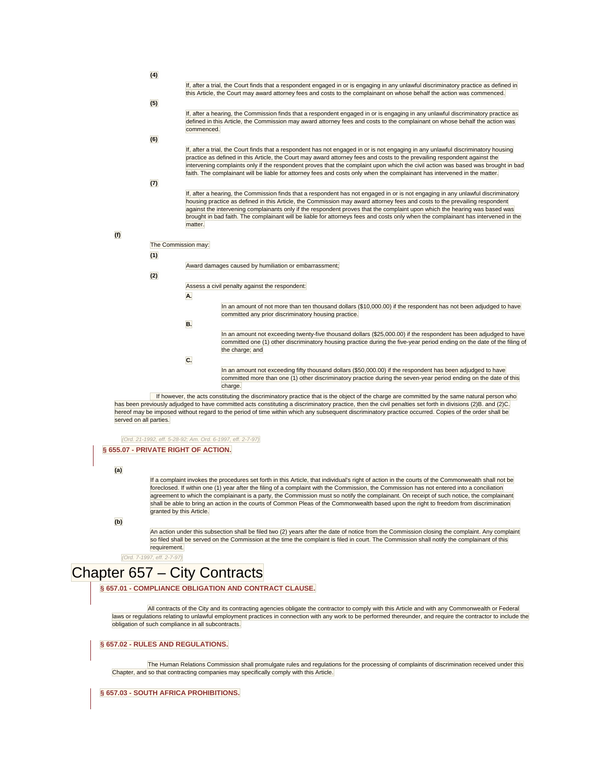| If, after a trial, the Court finds that a respondent engaged in or is engaging in any unlawful discriminatory practice as defined in |
|--------------------------------------------------------------------------------------------------------------------------------------|
| this Article, the Court may award attorney fees and costs to the complainant on whose behalf the action was commenced.               |

#### **(5)**

**(4)** 

If, after a hearing, the Commission finds that a respondent engaged in or is engaging in any unlawful discriminatory practice as defined in this Article, the Commission may award attorney fees and costs to the complainant on whose behalf the action was commenced.

**(6)** 

If, after a trial, the Court finds that a respondent has not engaged in or is not engaging in any unlawful discriminatory housing practice as defined in this Article, the Court may award attorney fees and costs to the prevailing respondent against the intervening complaints only if the respondent proves that the complaint upon which the civil action was based was brought in bad faith. The complainant will be liable for attorney fees and costs only when the complainant has intervened in the matter.

#### **(7)**

If, after a hearing, the Commission finds that a respondent has not engaged in or is not engaging in any unlawful discriminatory housing practice as defined in this Article, the Commission may award attorney fees and costs to the prevailing respondent against the intervening complainants only if the respondent proves that the complaint upon which the hearing was based was brought in bad faith. The complainant will be liable for attorneys fees and costs only when the complainant has intervened in the matter.

#### **(f)**

The Commission may:

#### **(1)**

Award damages caused by humiliation or embarrassment;

#### **(2)**

Assess a civil penalty against the respondent:

- **A.**
- In an amount of not more than ten thousand dollars (\$10,000.00) if the respondent has not been adjudged to have committed any prior discriminatory housing practice.
- **B.**

In an amount not exceeding twenty-five thousand dollars (\$25,000.00) if the respondent has been adjudged to have committed one (1) other discriminatory housing practice during the five-year period ending on the date of the filing of the charge; and

**C.** 

In an amount not exceeding fifty thousand dollars (\$50,000.00) if the respondent has been adjudged to have committed more than one (1) other discriminatory practice during the seven-year period ending on the date of this charge.

If however, the acts constituting the discriminatory practice that is the object of the charge are committed by the same natural person who has been previously adjudged to have committed acts constituting a discriminatory practice, then the civil penalties set forth in divisions (2)B. and (2)C. hereof may be imposed without regard to the period of time within which any subsequent discriminatory practice occurred. Copies of the order shall be served on all parties.

#### *(Ord. 21-1992, eff. 5-28-92; Am. Ord. 6-1997, eff. 2-7-97)*

#### **[§ 655.07 - PRIVATE RIGHT OF ACTION.](javascript:void(0))**

**(a)** 

If a complaint invokes the procedures set forth in this Article, that individual's right of action in the courts of the Commonwealth shall not be foreclosed. If within one (1) year after the filing of a complaint with the Commission, the Commission has not entered into a conciliation agreement to which the complainant is a party, the Commission must so notify the complainant. On receipt of such notice, the complainant shall be able to bring an action in the courts of Common Pleas of the Commonwealth based upon the right to freedom from discrimination granted by this Article.

#### **(b)**

An action under this subsection shall be filed two (2) years after the date of notice from the Commission closing the complaint. Any complaint so filed shall be served on the Commission at the time the complaint is filed in court. The Commission shall notify the complainant of this requirement.

*(Ord. 7-1997, eff. 2-7-97)* 

# Chapter 657 – City Contracts

**[§ 657.01 - COMPLIANCE OBLIGATION AND CONTRACT CLAUSE.](javascript:void(0))**

All contracts of the City and its contracting agencies obligate the contractor to comply with this Article and with any Commonwealth or Federal laws or regulations relating to unlawful employment practices in connection with any work to be performed thereunder, and require the contractor to include the obligation of such compliance in all subcontracts.

#### **[§ 657.02 - RULES AND REGULATIONS.](javascript:void(0))**

The Human Relations Commission shall promulgate rules and regulations for the processing of complaints of discrimination received under this Chapter, and so that contracting companies may specifically comply with this Article.

**[§ 657.03 - SOUTH AFRICA PROHIBITIONS.](javascript:void(0))**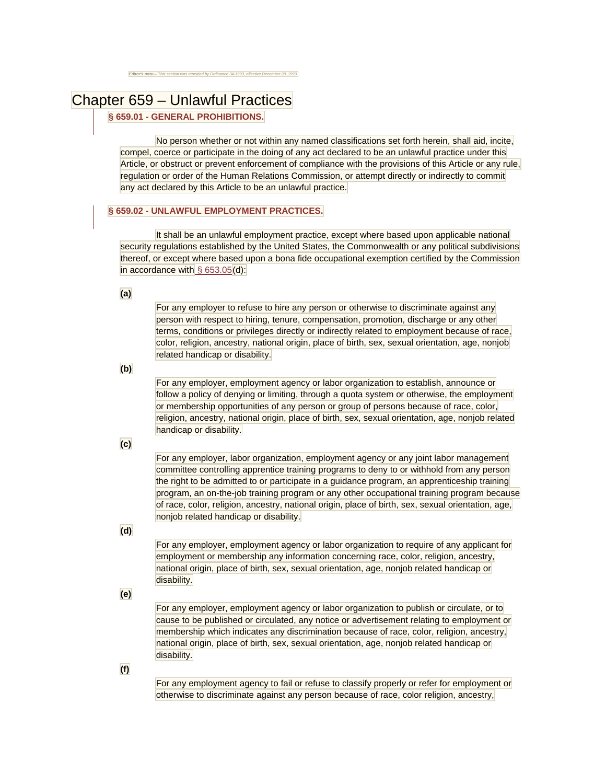# Chapter 659 – Unlawful Practices

## **[§ 659.01 - GENERAL PROHIBITIONS.](javascript:void(0))**

No person whether or not within any named classifications set forth herein, shall aid, incite, compel, coerce or participate in the doing of any act declared to be an unlawful practice under this Article, or obstruct or prevent enforcement of compliance with the provisions of this Article or any rule, regulation or order of the Human Relations Commission, or attempt directly or indirectly to commit any act declared by this Article to be an unlawful practice.

### **[§ 659.02 - UNLAWFUL EMPLOYMENT PRACTICES.](javascript:void(0))**

It shall be an unlawful employment practice, except where based upon applicable national security regulations established by the United States, the Commonwealth or any political subdivisions thereof, or except where based upon a bona fide occupational exemption certified by the Commission in accordance with  $\S$  653.05 $(d)$ :

**(a)** 

For any employer to refuse to hire any person or otherwise to discriminate against any person with respect to hiring, tenure, compensation, promotion, discharge or any other terms, conditions or privileges directly or indirectly related to employment because of race, color, religion, ancestry, national origin, place of birth, sex, sexual orientation, age, nonjob related handicap or disability.

**(b)** 

For any employer, employment agency or labor organization to establish, announce or follow a policy of denying or limiting, through a quota system or otherwise, the employment or membership opportunities of any person or group of persons because of race, color, religion, ancestry, national origin, place of birth, sex, sexual orientation, age, nonjob related handicap or disability.

**(c)** 

For any employer, labor organization, employment agency or any joint labor management committee controlling apprentice training programs to deny to or withhold from any person the right to be admitted to or participate in a guidance program, an apprenticeship training program, an on-the-job training program or any other occupational training program because of race, color, religion, ancestry, national origin, place of birth, sex, sexual orientation, age, nonjob related handicap or disability.

# **(d)**

For any employer, employment agency or labor organization to require of any applicant for employment or membership any information concerning race, color, religion, ancestry, national origin, place of birth, sex, sexual orientation, age, nonjob related handicap or disability.

**(e)** 

For any employer, employment agency or labor organization to publish or circulate, or to cause to be published or circulated, any notice or advertisement relating to employment or membership which indicates any discrimination because of race, color, religion, ancestry, national origin, place of birth, sex, sexual orientation, age, nonjob related handicap or disability.

**(f)** 

For any employment agency to fail or refuse to classify properly or refer for employment or otherwise to discriminate against any person because of race, color religion, ancestry,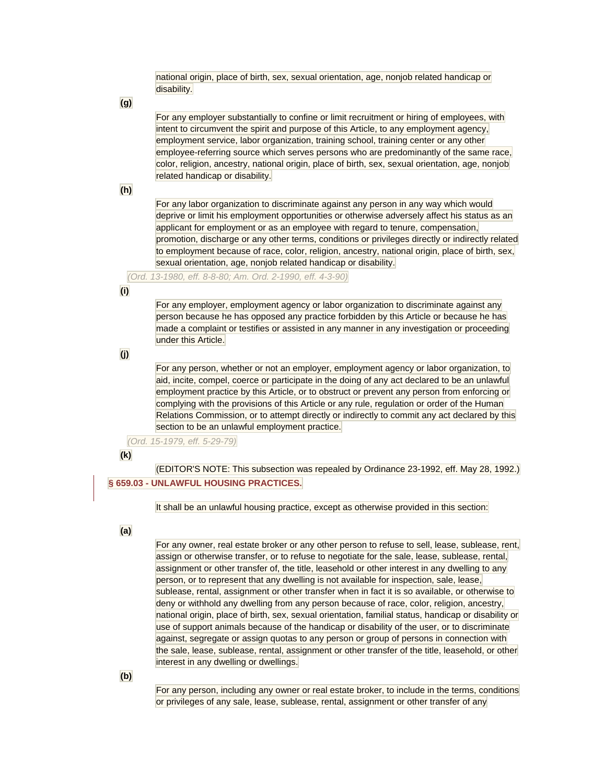national origin, place of birth, sex, sexual orientation, age, nonjob related handicap or disability.

**(g)** 

For any employer substantially to confine or limit recruitment or hiring of employees, with intent to circumvent the spirit and purpose of this Article, to any employment agency, employment service, labor organization, training school, training center or any other employee-referring source which serves persons who are predominantly of the same race, color, religion, ancestry, national origin, place of birth, sex, sexual orientation, age, nonjob related handicap or disability.

**(h)** 

For any labor organization to discriminate against any person in any way which would deprive or limit his employment opportunities or otherwise adversely affect his status as an applicant for employment or as an employee with regard to tenure, compensation, promotion, discharge or any other terms, conditions or privileges directly or indirectly related to employment because of race, color, religion, ancestry, national origin, place of birth, sex, sexual orientation, age, nonjob related handicap or disability.

*(Ord. 13-1980, eff. 8-8-80; Am. Ord. 2-1990, eff. 4-3-90)* 

**(i)** 

For any employer, employment agency or labor organization to discriminate against any person because he has opposed any practice forbidden by this Article or because he has made a complaint or testifies or assisted in any manner in any investigation or proceeding under this Article.

**(j)** 

For any person, whether or not an employer, employment agency or labor organization, to aid, incite, compel, coerce or participate in the doing of any act declared to be an unlawful employment practice by this Article, or to obstruct or prevent any person from enforcing or complying with the provisions of this Article or any rule, regulation or order of the Human Relations Commission, or to attempt directly or indirectly to commit any act declared by this section to be an unlawful employment practice.

*(Ord. 15-1979, eff. 5-29-79)* 

**(k)** 

(EDITOR'S NOTE: This subsection was repealed by Ordinance 23-1992, eff. May 28, 1992.) **[§ 659.03 - UNLAWFUL HOUSING PRACTICES.](javascript:void(0))**

It shall be an unlawful housing practice, except as otherwise provided in this section:

**(a)** 

For any owner, real estate broker or any other person to refuse to sell, lease, sublease, rent, assign or otherwise transfer, or to refuse to negotiate for the sale, lease, sublease, rental, assignment or other transfer of, the title, leasehold or other interest in any dwelling to any person, or to represent that any dwelling is not available for inspection, sale, lease, sublease, rental, assignment or other transfer when in fact it is so available, or otherwise to deny or withhold any dwelling from any person because of race, color, religion, ancestry, national origin, place of birth, sex, sexual orientation, familial status, handicap or disability or use of support animals because of the handicap or disability of the user, or to discriminate against, segregate or assign quotas to any person or group of persons in connection with the sale, lease, sublease, rental, assignment or other transfer of the title, leasehold, or other interest in any dwelling or dwellings.

**(b)** 

For any person, including any owner or real estate broker, to include in the terms, conditions or privileges of any sale, lease, sublease, rental, assignment or other transfer of any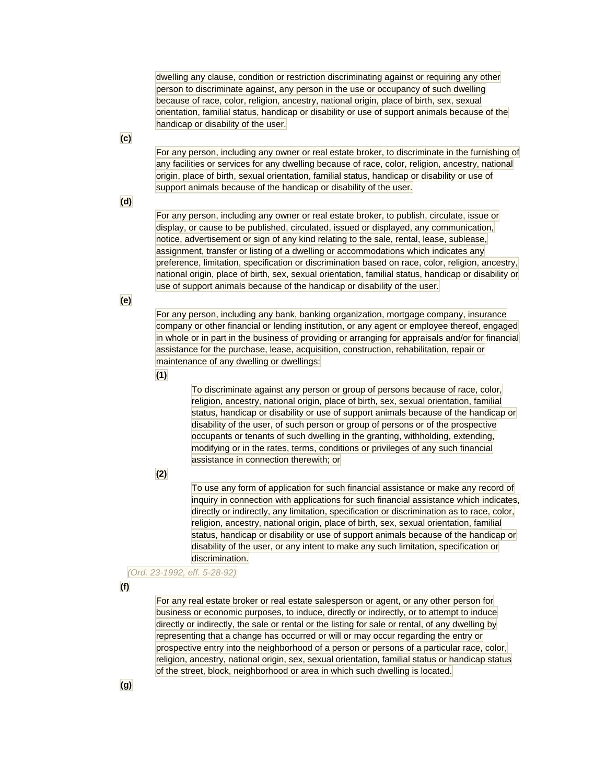dwelling any clause, condition or restriction discriminating against or requiring any other person to discriminate against, any person in the use or occupancy of such dwelling because of race, color, religion, ancestry, national origin, place of birth, sex, sexual orientation, familial status, handicap or disability or use of support animals because of the handicap or disability of the user.

For any person, including any owner or real estate broker, to discriminate in the furnishing of any facilities or services for any dwelling because of race, color, religion, ancestry, national origin, place of birth, sexual orientation, familial status, handicap or disability or use of support animals because of the handicap or disability of the user.

**(d)** 

**(c)** 

For any person, including any owner or real estate broker, to publish, circulate, issue or display, or cause to be published, circulated, issued or displayed, any communication, notice, advertisement or sign of any kind relating to the sale, rental, lease, sublease, assignment, transfer or listing of a dwelling or accommodations which indicates any preference, limitation, specification or discrimination based on race, color, religion, ancestry, national origin, place of birth, sex, sexual orientation, familial status, handicap or disability or use of support animals because of the handicap or disability of the user.

**(e)** 

For any person, including any bank, banking organization, mortgage company, insurance company or other financial or lending institution, or any agent or employee thereof, engaged in whole or in part in the business of providing or arranging for appraisals and/or for financial assistance for the purchase, lease, acquisition, construction, rehabilitation, repair or maintenance of any dwelling or dwellings:

**(1)** 

To discriminate against any person or group of persons because of race, color, religion, ancestry, national origin, place of birth, sex, sexual orientation, familial status, handicap or disability or use of support animals because of the handicap or disability of the user, of such person or group of persons or of the prospective occupants or tenants of such dwelling in the granting, withholding, extending, modifying or in the rates, terms, conditions or privileges of any such financial assistance in connection therewith; or

**(2)** 

To use any form of application for such financial assistance or make any record of inquiry in connection with applications for such financial assistance which indicates, directly or indirectly, any limitation, specification or discrimination as to race, color, religion, ancestry, national origin, place of birth, sex, sexual orientation, familial status, handicap or disability or use of support animals because of the handicap or disability of the user, or any intent to make any such limitation, specification or discrimination.

*(Ord. 23-1992, eff. 5-28-92)* 

**(f)** 

For any real estate broker or real estate salesperson or agent, or any other person for business or economic purposes, to induce, directly or indirectly, or to attempt to induce directly or indirectly, the sale or rental or the listing for sale or rental, of any dwelling by representing that a change has occurred or will or may occur regarding the entry or prospective entry into the neighborhood of a person or persons of a particular race, color, religion, ancestry, national origin, sex, sexual orientation, familial status or handicap status of the street, block, neighborhood or area in which such dwelling is located.

**(g)**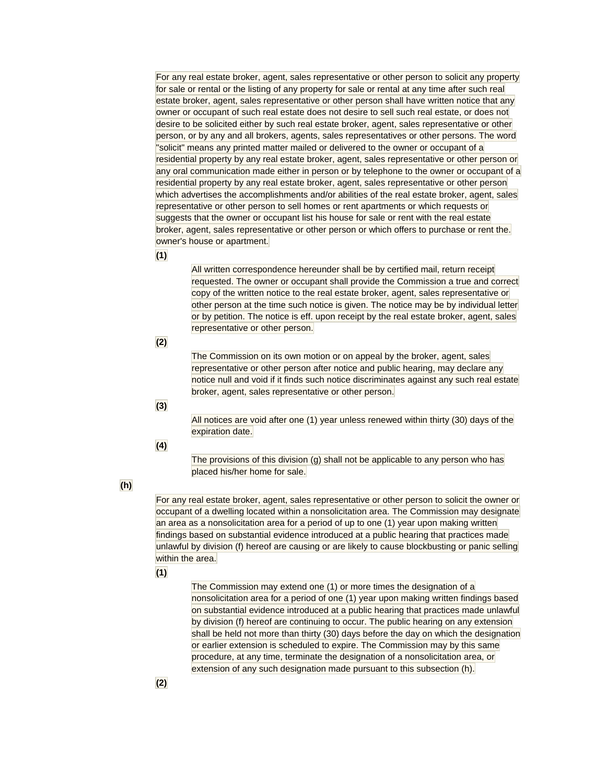For any real estate broker, agent, sales representative or other person to solicit any property for sale or rental or the listing of any property for sale or rental at any time after such real estate broker, agent, sales representative or other person shall have written notice that any owner or occupant of such real estate does not desire to sell such real estate, or does not desire to be solicited either by such real estate broker, agent, sales representative or other person, or by any and all brokers, agents, sales representatives or other persons. The word "solicit" means any printed matter mailed or delivered to the owner or occupant of a residential property by any real estate broker, agent, sales representative or other person or any oral communication made either in person or by telephone to the owner or occupant of a residential property by any real estate broker, agent, sales representative or other person which advertises the accomplishments and/or abilities of the real estate broker, agent, sales representative or other person to sell homes or rent apartments or which requests or suggests that the owner or occupant list his house for sale or rent with the real estate broker, agent, sales representative or other person or which offers to purchase or rent the. owner's house or apartment.

**(1)** 

All written correspondence hereunder shall be by certified mail, return receipt requested. The owner or occupant shall provide the Commission a true and correct copy of the written notice to the real estate broker, agent, sales representative or other person at the time such notice is given. The notice may be by individual letter or by petition. The notice is eff. upon receipt by the real estate broker, agent, sales representative or other person.

## **(2)**

The Commission on its own motion or on appeal by the broker, agent, sales representative or other person after notice and public hearing, may declare any notice null and void if it finds such notice discriminates against any such real estate broker, agent, sales representative or other person.

### **(3)**

All notices are void after one (1) year unless renewed within thirty (30) days of the expiration date.

### **(4)**

The provisions of this division (g) shall not be applicable to any person who has placed his/her home for sale.

# **(h)**

For any real estate broker, agent, sales representative or other person to solicit the owner or occupant of a dwelling located within a nonsolicitation area. The Commission may designate an area as a nonsolicitation area for a period of up to one (1) year upon making written findings based on substantial evidence introduced at a public hearing that practices made unlawful by division (f) hereof are causing or are likely to cause blockbusting or panic selling within the area.

### **(1)**

The Commission may extend one (1) or more times the designation of a nonsolicitation area for a period of one (1) year upon making written findings based on substantial evidence introduced at a public hearing that practices made unlawful by division (f) hereof are continuing to occur. The public hearing on any extension shall be held not more than thirty (30) days before the day on which the designation or earlier extension is scheduled to expire. The Commission may by this same procedure, at any time, terminate the designation of a nonsolicitation area, or extension of any such designation made pursuant to this subsection (h).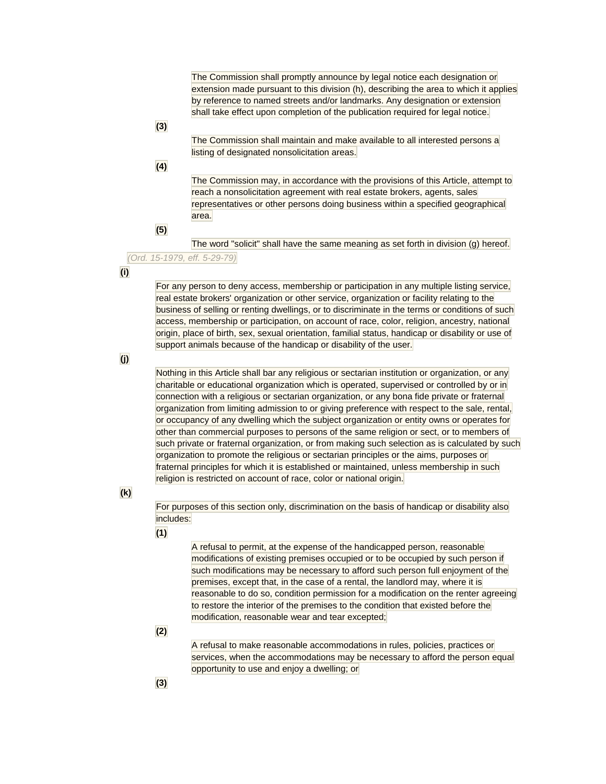The Commission shall promptly announce by legal notice each designation or extension made pursuant to this division (h), describing the area to which it applies by reference to named streets and/or landmarks. Any designation or extension shall take effect upon completion of the publication required for legal notice.

# **(3)**

The Commission shall maintain and make available to all interested persons a listing of designated nonsolicitation areas.

# **(4)**

The Commission may, in accordance with the provisions of this Article, attempt to reach a nonsolicitation agreement with real estate brokers, agents, sales representatives or other persons doing business within a specified geographical area.

## **(5)**

The word "solicit" shall have the same meaning as set forth in division (g) hereof.

# *(Ord. 15-1979, eff. 5-29-79)*

# **(i)**

For any person to deny access, membership or participation in any multiple listing service, real estate brokers' organization or other service, organization or facility relating to the business of selling or renting dwellings, or to discriminate in the terms or conditions of such access, membership or participation, on account of race, color, religion, ancestry, national origin, place of birth, sex, sexual orientation, familial status, handicap or disability or use of support animals because of the handicap or disability of the user.

# **(j)**

Nothing in this Article shall bar any religious or sectarian institution or organization, or any charitable or educational organization which is operated, supervised or controlled by or in connection with a religious or sectarian organization, or any bona fide private or fraternal organization from limiting admission to or giving preference with respect to the sale, rental, or occupancy of any dwelling which the subject organization or entity owns or operates for other than commercial purposes to persons of the same religion or sect, or to members of such private or fraternal organization, or from making such selection as is calculated by such organization to promote the religious or sectarian principles or the aims, purposes or fraternal principles for which it is established or maintained, unless membership in such religion is restricted on account of race, color or national origin.

## **(k)**

For purposes of this section only, discrimination on the basis of handicap or disability also includes:

## **(1)**

A refusal to permit, at the expense of the handicapped person, reasonable modifications of existing premises occupied or to be occupied by such person if such modifications may be necessary to afford such person full enjoyment of the premises, except that, in the case of a rental, the landlord may, where it is reasonable to do so, condition permission for a modification on the renter agreeing to restore the interior of the premises to the condition that existed before the modification, reasonable wear and tear excepted;

# **(2)**

A refusal to make reasonable accommodations in rules, policies, practices or services, when the accommodations may be necessary to afford the person equal opportunity to use and enjoy a dwelling; or

# **(3)**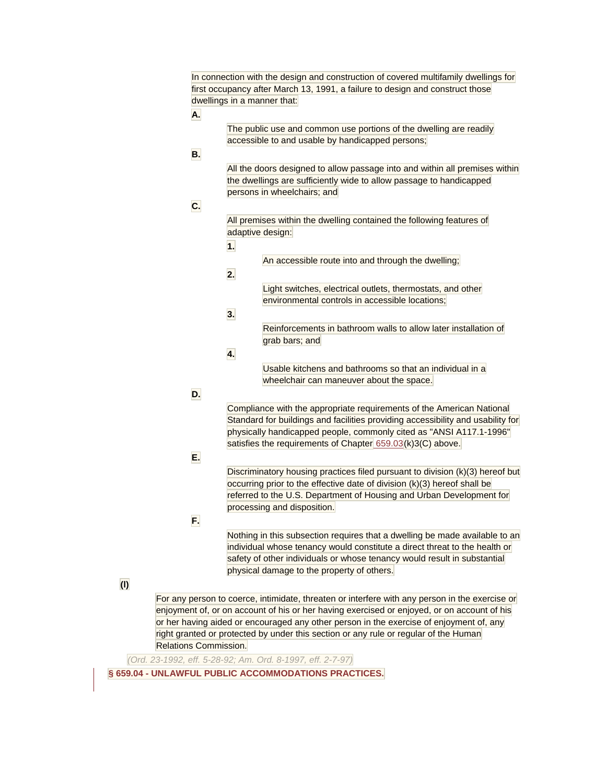|                       | In connection with the design and construction of covered multifamily dwellings for                          |
|-----------------------|--------------------------------------------------------------------------------------------------------------|
|                       | first occupancy after March 13, 1991, a failure to design and construct those<br>dwellings in a manner that: |
|                       |                                                                                                              |
| Α.                    |                                                                                                              |
|                       | The public use and common use portions of the dwelling are readily                                           |
|                       | accessible to and usable by handicapped persons;                                                             |
| В.                    |                                                                                                              |
|                       | All the doors designed to allow passage into and within all premises within                                  |
|                       | the dwellings are sufficiently wide to allow passage to handicapped                                          |
|                       | persons in wheelchairs; and                                                                                  |
| С.                    |                                                                                                              |
|                       | All premises within the dwelling contained the following features of                                         |
|                       | adaptive design:                                                                                             |
|                       | 1.                                                                                                           |
|                       | An accessible route into and through the dwelling;                                                           |
|                       | 2.                                                                                                           |
|                       | Light switches, electrical outlets, thermostats, and other                                                   |
|                       | environmental controls in accessible locations;                                                              |
|                       |                                                                                                              |
|                       | 3.                                                                                                           |
|                       | Reinforcements in bathroom walls to allow later installation of                                              |
|                       | grab bars; and                                                                                               |
|                       | 4.                                                                                                           |
|                       | Usable kitchens and bathrooms so that an individual in a                                                     |
|                       | wheelchair can maneuver about the space.                                                                     |
| D.                    |                                                                                                              |
|                       | Compliance with the appropriate requirements of the American National                                        |
|                       | Standard for buildings and facilities providing accessibility and usability for                              |
|                       | physically handicapped people, commonly cited as "ANSI A117.1-1996"                                          |
|                       | satisfies the requirements of Chapter 659.03(k)3(C) above.                                                   |
| Е.                    |                                                                                                              |
|                       | Discriminatory housing practices filed pursuant to division (k)(3) hereof but                                |
|                       | occurring prior to the effective date of division (k)(3) hereof shall be                                     |
|                       | referred to the U.S. Department of Housing and Urban Development for                                         |
|                       | processing and disposition.                                                                                  |
| F.                    |                                                                                                              |
|                       | Nothing in this subsection requires that a dwelling be made available to an                                  |
|                       | individual whose tenancy would constitute a direct threat to the health or                                   |
|                       | safety of other individuals or whose tenancy would result in substantial                                     |
|                       | physical damage to the property of others.                                                                   |
|                       |                                                                                                              |
|                       | For any person to coerce, intimidate, threaten or interfere with any person in the exercise or               |
|                       | enjoyment of, or on account of his or her having exercised or enjoyed, or on account of his                  |
|                       | or her having aided or encouraged any other person in the exercise of enjoyment of, any                      |
|                       | right granted or protected by under this section or any rule or regular of the Human                         |
| Relations Commission. |                                                                                                              |
|                       |                                                                                                              |

*(Ord. 23-1992, eff. 5-28-92; Am. Ord. 8-1997, eff. 2-7-97)* 

**(l)** 

**[§ 659.04 - UNLAWFUL PUBLIC ACCOMMODATIONS PRACTICES.](javascript:void(0))**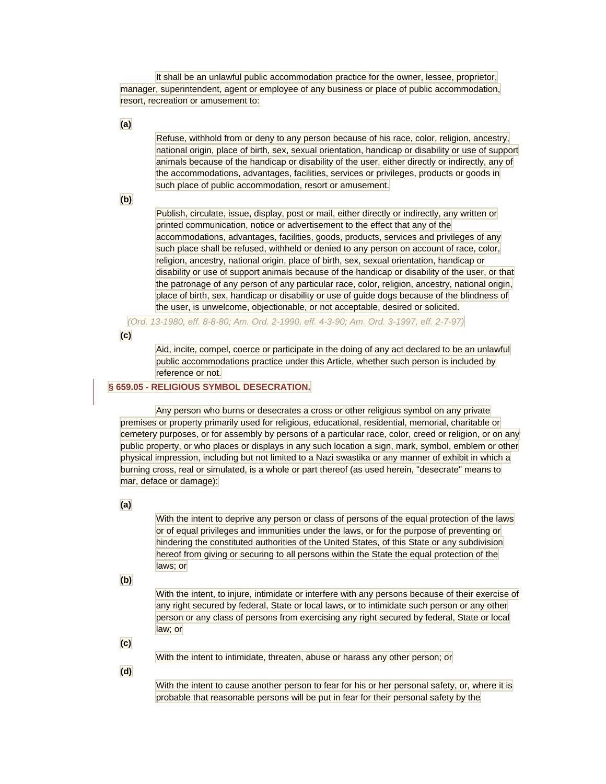It shall be an unlawful public accommodation practice for the owner, lessee, proprietor, manager, superintendent, agent or employee of any business or place of public accommodation, resort, recreation or amusement to:

**(a)** 

Refuse, withhold from or deny to any person because of his race, color, religion, ancestry, national origin, place of birth, sex, sexual orientation, handicap or disability or use of support animals because of the handicap or disability of the user, either directly or indirectly, any of the accommodations, advantages, facilities, services or privileges, products or goods in such place of public accommodation, resort or amusement.

**(b)** 

Publish, circulate, issue, display, post or mail, either directly or indirectly, any written or printed communication, notice or advertisement to the effect that any of the accommodations, advantages, facilities, goods, products, services and privileges of any such place shall be refused, withheld or denied to any person on account of race, color, religion, ancestry, national origin, place of birth, sex, sexual orientation, handicap or disability or use of support animals because of the handicap or disability of the user, or that the patronage of any person of any particular race, color, religion, ancestry, national origin, place of birth, sex, handicap or disability or use of guide dogs because of the blindness of the user, is unwelcome, objectionable, or not acceptable, desired or solicited.

*(Ord. 13-1980, eff. 8-8-80; Am. Ord. 2-1990, eff. 4-3-90; Am. Ord. 3-1997, eff. 2-7-97)* 

**(c)** 

Aid, incite, compel, coerce or participate in the doing of any act declared to be an unlawful public accommodations practice under this Article, whether such person is included by reference or not.

### **[§ 659.05 - RELIGIOUS SYMBOL DESECRATION.](javascript:void(0))**

Any person who burns or desecrates a cross or other religious symbol on any private premises or property primarily used for religious, educational, residential, memorial, charitable or cemetery purposes, or for assembly by persons of a particular race, color, creed or religion, or on any public property, or who places or displays in any such location a sign, mark, symbol, emblem or other physical impression, including but not limited to a Nazi swastika or any manner of exhibit in which a burning cross, real or simulated, is a whole or part thereof (as used herein, "desecrate" means to mar, deface or damage):

**(a)** 

With the intent to deprive any person or class of persons of the equal protection of the laws or of equal privileges and immunities under the laws, or for the purpose of preventing or hindering the constituted authorities of the United States, of this State or any subdivision hereof from giving or securing to all persons within the State the equal protection of the laws; or

**(b)** 

With the intent, to injure, intimidate or interfere with any persons because of their exercise of any right secured by federal, State or local laws, or to intimidate such person or any other person or any class of persons from exercising any right secured by federal, State or local law; or

**(c)** 

With the intent to intimidate, threaten, abuse or harass any other person; or

**(d)** 

With the intent to cause another person to fear for his or her personal safety, or, where it is probable that reasonable persons will be put in fear for their personal safety by the